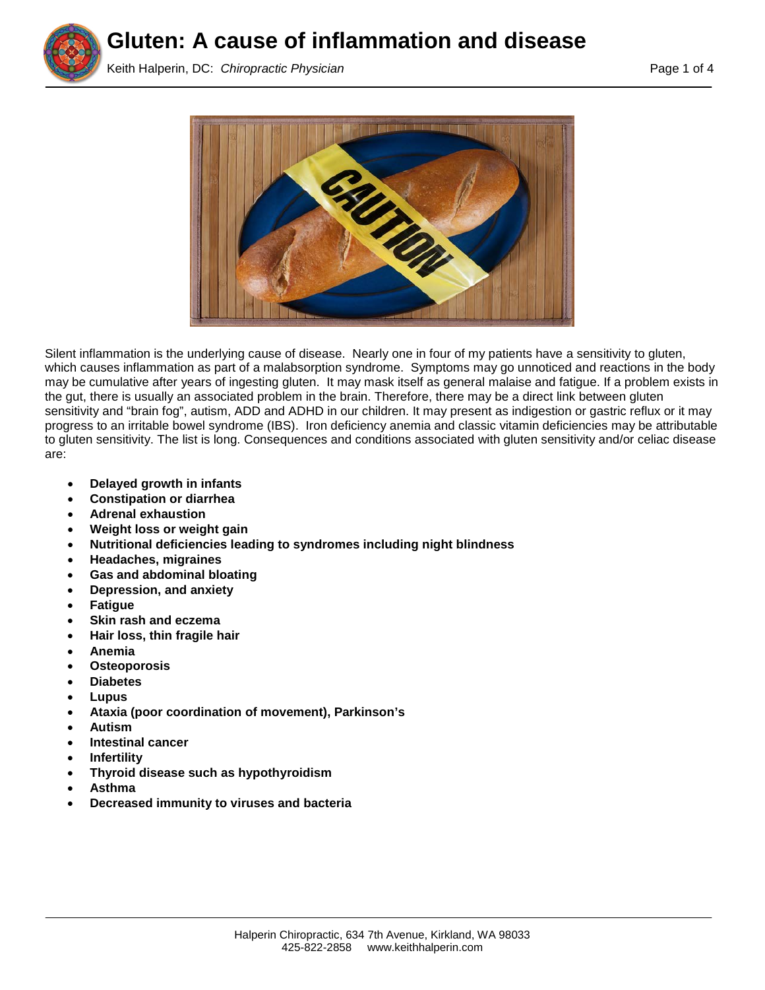

**Gluten: A cause of inflammation and disease**

Keith Halperin, DC: *Chiropractic Physician* Page 1 of 4



Silent inflammation is the underlying cause of disease. Nearly one in four of my patients have a sensitivity to gluten, which causes inflammation as part of a malabsorption syndrome. Symptoms may go unnoticed and reactions in the body may be cumulative after years of ingesting gluten. It may mask itself as general malaise and fatigue. If a problem exists in the gut, there is usually an associated problem in the brain. Therefore, there may be a direct link between gluten sensitivity and "brain fog", autism, ADD and ADHD in our children. It may present as indigestion or gastric reflux or it may progress to an irritable bowel syndrome (IBS). Iron deficiency anemia and classic vitamin deficiencies may be attributable to gluten sensitivity. The list is long. Consequences and conditions associated with gluten sensitivity and/or celiac disease are:

- **Delayed growth in infants**
- **Constipation or diarrhea**
- **Adrenal exhaustion**
- **Weight loss or weight gain**
- **Nutritional deficiencies leading to syndromes including night blindness**
- **Headaches, migraines**
- **Gas and abdominal bloating**
- **Depression, and anxiety**
- **Fatigue**
- **Skin rash and eczema**
- **Hair loss, thin fragile hair**
- **Anemia**
- **Osteoporosis**
- **Diabetes**
- **Lupus**
- **Ataxia (poor coordination of movement), Parkinson's**
- **Autism**
- **Intestinal cancer**
- **Infertility**
- **Thyroid disease such as hypothyroidism**
- **Asthma**
- **Decreased immunity to viruses and bacteria**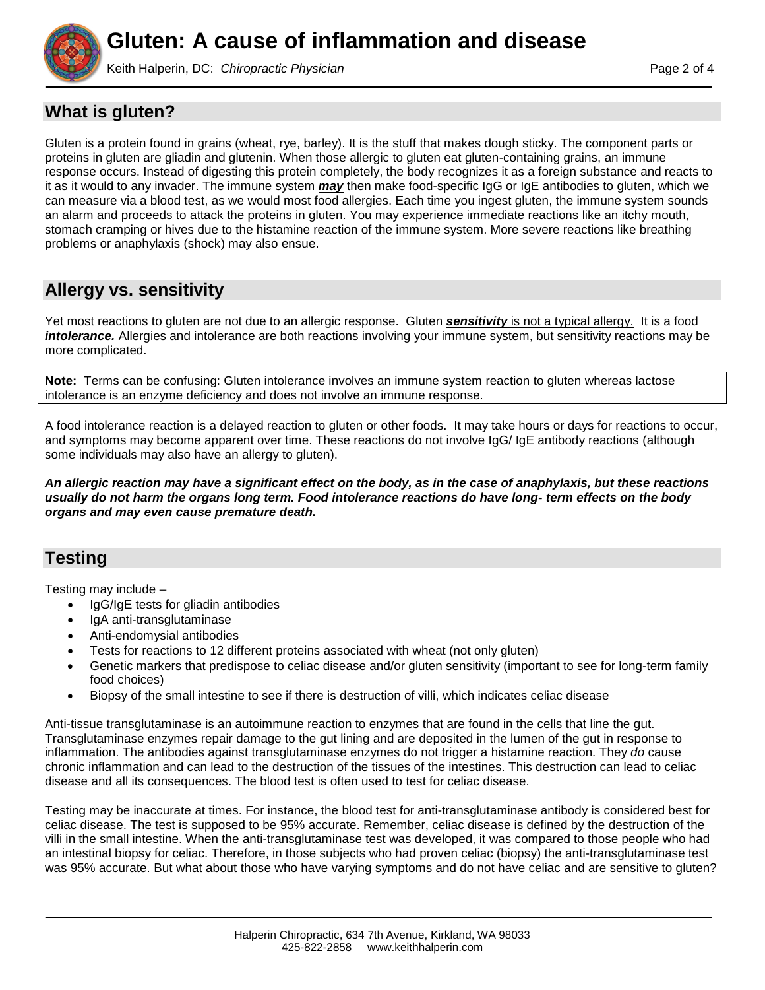

Keith Halperin, DC: *Chiropractic Physician* **Page 2 of 4** and 2 of 4

### **What is gluten?**

Gluten is a protein found in grains (wheat, rye, barley). It is the stuff that makes dough sticky. The component parts or proteins in gluten are gliadin and glutenin. When those allergic to gluten eat gluten-containing grains, an immune response occurs. Instead of digesting this protein completely, the body recognizes it as a foreign substance and reacts to it as it would to any invader. The immune system *may* then make food-specific IgG or IgE antibodies to gluten, which we can measure via a blood test, as we would most food allergies. Each time you ingest gluten, the immune system sounds an alarm and proceeds to attack the proteins in gluten. You may experience immediate reactions like an itchy mouth, stomach cramping or hives due to the histamine reaction of the immune system. More severe reactions like breathing problems or anaphylaxis (shock) may also ensue.

# **Allergy vs. sensitivity**

Yet most reactions to gluten are not due to an allergic response.Gluten *sensitivity* is not a typical allergy. It is a food *intolerance.* Allergies and intolerance are both reactions involving your immune system, but sensitivity reactions may be more complicated.

**Note:** Terms can be confusing: Gluten intolerance involves an immune system reaction to gluten whereas lactose intolerance is an enzyme deficiency and does not involve an immune response.

A food intolerance reaction is a delayed reaction to gluten or other foods. It may take hours or days for reactions to occur, and symptoms may become apparent over time. These reactions do not involve IgG/ IgE antibody reactions (although some individuals may also have an allergy to gluten).

*An allergic reaction may have a significant effect on the body, as in the case of anaphylaxis, but these reactions usually do not harm the organs long term. Food intolerance reactions do have long- term effects on the body organs and may even cause premature death.*

## **Testing**

Testing may include –

- IgG/IgE tests for gliadin antibodies
- IgA anti-transglutaminase
- Anti-endomysial antibodies
- Tests for reactions to 12 different proteins associated with wheat (not only gluten)
- Genetic markers that predispose to celiac disease and/or gluten sensitivity (important to see for long-term family food choices)
- Biopsy of the small intestine to see if there is destruction of villi, which indicates celiac disease

Anti-tissue transglutaminase is an autoimmune reaction to enzymes that are found in the cells that line the gut. Transglutaminase enzymes repair damage to the gut lining and are deposited in the lumen of the gut in response to inflammation. The antibodies against transglutaminase enzymes do not trigger a histamine reaction. They *do* cause chronic inflammation and can lead to the destruction of the tissues of the intestines. This destruction can lead to celiac disease and all its consequences. The blood test is often used to test for celiac disease.

Testing may be inaccurate at times. For instance, the blood test for anti-transglutaminase antibody is considered best for celiac disease. The test is supposed to be 95% accurate. Remember, celiac disease is defined by the destruction of the villi in the small intestine. When the anti-transglutaminase test was developed, it was compared to those people who had an intestinal biopsy for celiac. Therefore, in those subjects who had proven celiac (biopsy) the anti-transglutaminase test was 95% accurate. But what about those who have varying symptoms and do not have celiac and are sensitive to gluten?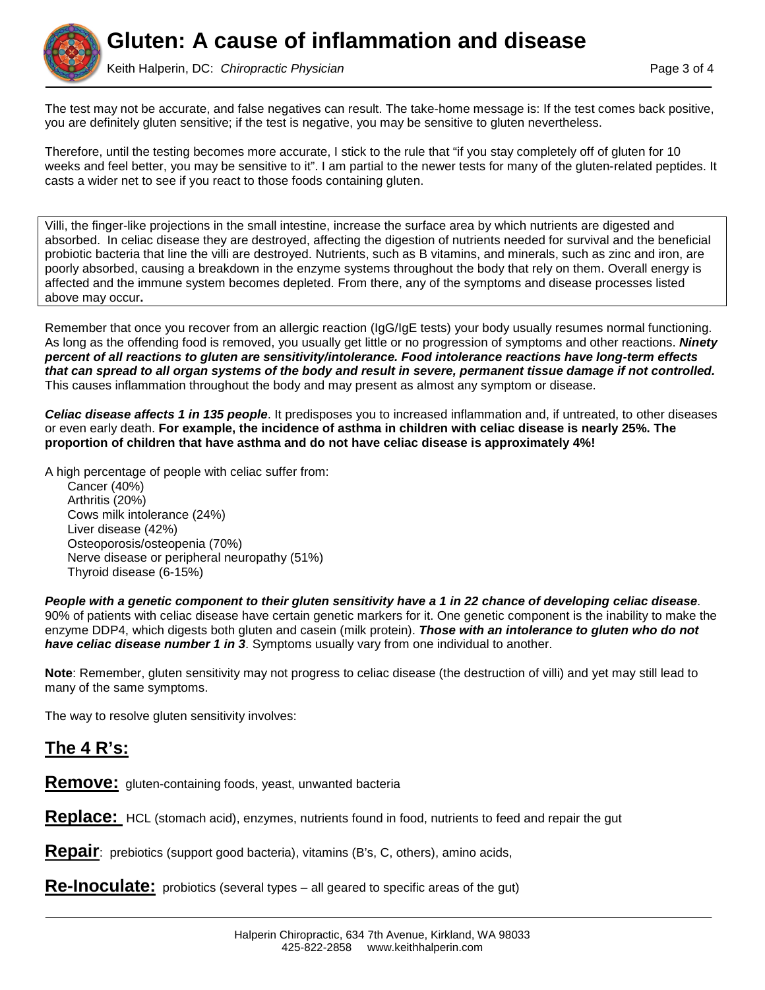

Keith Halperin, DC: *Chiropractic Physician* Page 3 of 4

The test may not be accurate, and false negatives can result. The take-home message is: If the test comes back positive, you are definitely gluten sensitive; if the test is negative, you may be sensitive to gluten nevertheless.

Therefore, until the testing becomes more accurate, I stick to the rule that "if you stay completely off of gluten for 10 weeks and feel better, you may be sensitive to it". I am partial to the newer tests for many of the gluten-related peptides. It casts a wider net to see if you react to those foods containing gluten.

Villi, the finger-like projections in the small intestine, increase the surface area by which nutrients are digested and absorbed. In celiac disease they are destroyed, affecting the digestion of nutrients needed for survival and the beneficial probiotic bacteria that line the villi are destroyed. Nutrients, such as B vitamins, and minerals, such as zinc and iron, are poorly absorbed, causing a breakdown in the enzyme systems throughout the body that rely on them. Overall energy is affected and the immune system becomes depleted. From there, any of the symptoms and disease processes listed above may occur**.**

Remember that once you recover from an allergic reaction (IgG/IgE tests) your body usually resumes normal functioning. As long as the offending food is removed, you usually get little or no progression of symptoms and other reactions. *Ninety percent of all reactions to gluten are sensitivity/intolerance. Food intolerance reactions have long-term effects that can spread to all organ systems of the body and result in severe, permanent tissue damage if not controlled.* This causes inflammation throughout the body and may present as almost any symptom or disease.

*Celiac disease affects 1 in 135 people*. It predisposes you to increased inflammation and, if untreated, to other diseases or even early death. **For example, the incidence of asthma in children with celiac disease is nearly 25%. The proportion of children that have asthma and do not have celiac disease is approximately 4%!**

A high percentage of people with celiac suffer from:

Cancer (40%) Arthritis (20%) Cows milk intolerance (24%) Liver disease (42%) Osteoporosis/osteopenia (70%) Nerve disease or peripheral neuropathy (51%) Thyroid disease (6-15%)

*People with a genetic component to their gluten sensitivity have a 1 in 22 chance of developing celiac disease*. 90% of patients with celiac disease have certain genetic markers for it. One genetic component is the inability to make the enzyme DDP4, which digests both gluten and casein (milk protein). *Those with an intolerance to gluten who do not have celiac disease number 1 in 3*. Symptoms usually vary from one individual to another.

**Note**: Remember, gluten sensitivity may not progress to celiac disease (the destruction of villi) and yet may still lead to many of the same symptoms.

The way to resolve gluten sensitivity involves:

# **The 4 R's:**

**Remove:** gluten-containing foods, yeast, unwanted bacteria

**Replace:** HCL (stomach acid), enzymes, nutrients found in food, nutrients to feed and repair the gut

**Repair**: prebiotics (support good bacteria), vitamins (B's, C, others), amino acids,

**Re-Inoculate:** probiotics (several types – all geared to specific areas of the gut)